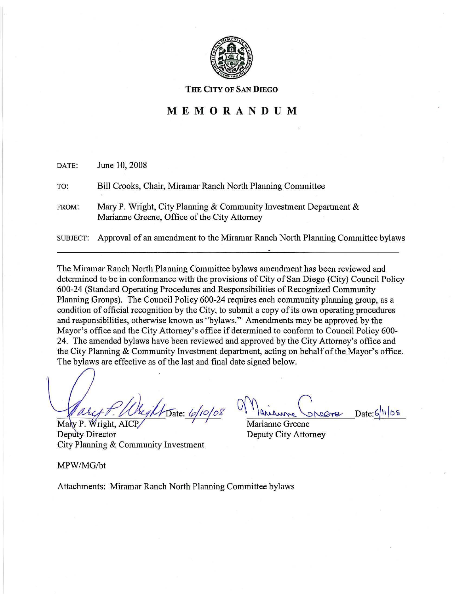

#### **THE CITY OF SAN DIEGO**

# **MEMORANDUM**

| DATE:           | June 10, 2008                                                                                                     |
|-----------------|-------------------------------------------------------------------------------------------------------------------|
| TO:             | Bill Crooks, Chair, Miramar Ranch North Planning Committee                                                        |
| FROM:           | Mary P. Wright, City Planning & Community Investment Department &<br>Marianne Greene, Office of the City Attorney |
| <b>SUBJECT:</b> | Approval of an amendment to the Miramar Ranch North Planning Committee bylaws                                     |

The Miramar Ranch North Planning Committee bylaws amendment has been reviewed and determined to be in conformance with the provisions of City of San Diego (City) Council Policy 600-24 (Standard Operating Procedures and Responsibilities ofRecognized Community Planning Groups). The Council Policy 600-24 requires each community planning group, as a condition of official recognition by the City, to submit a copy of its own operating procedures and responsibilities, otherwise known as "bylaws." Amendments may be approved by the Mayor's office and the City Attorney's office if determined to conform to Council Policy 600- 24. The amended bylaws have been reviewed and approved by the City Attorney's office and the City Planning & Community Investment department, acting on behalf of the Mayor's office. The bylaws are effective as of the last and final date signed below.

<u>f. Wreght Date: 6/10/08</u> Mary P. Wright, AICP

Deputy Director City Planning & Community Investment

 $Date:6|||08$ 

Marianne Greene Deputy City Attorney

MPW/MG/bt

Attachments: Miramar Ranch North Planning Committee bylaws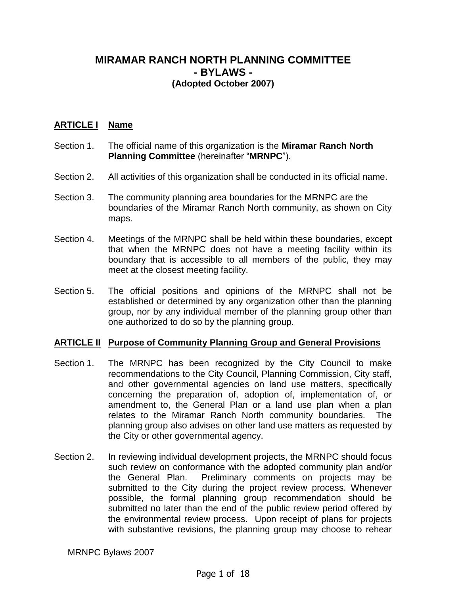# **MIRAMAR RANCH NORTH PLANNING COMMITTEE - BYLAWS - (Adopted October 2007)**

# **ARTICLE I Name**

- Section 1. The official name of this organization is the **Miramar Ranch North Planning Committee** (hereinafter "**MRNPC**").
- Section 2. All activities of this organization shall be conducted in its official name.
- Section 3. The community planning area boundaries for the MRNPC are the boundaries of the Miramar Ranch North community, as shown on City maps.
- Section 4. Meetings of the MRNPC shall be held within these boundaries, except that when the MRNPC does not have a meeting facility within its boundary that is accessible to all members of the public, they may meet at the closest meeting facility.
- Section 5. The official positions and opinions of the MRNPC shall not be established or determined by any organization other than the planning group, nor by any individual member of the planning group other than one authorized to do so by the planning group.

# **ARTICLE II Purpose of Community Planning Group and General Provisions**

- Section 1. The MRNPC has been recognized by the City Council to make recommendations to the City Council, Planning Commission, City staff, and other governmental agencies on land use matters, specifically concerning the preparation of, adoption of, implementation of, or amendment to, the General Plan or a land use plan when a plan relates to the Miramar Ranch North community boundaries. The planning group also advises on other land use matters as requested by the City or other governmental agency.
- Section 2. In reviewing individual development projects, the MRNPC should focus such review on conformance with the adopted community plan and/or the General Plan. Preliminary comments on projects may be submitted to the City during the project review process. Whenever possible, the formal planning group recommendation should be submitted no later than the end of the public review period offered by the environmental review process. Upon receipt of plans for projects with substantive revisions, the planning group may choose to rehear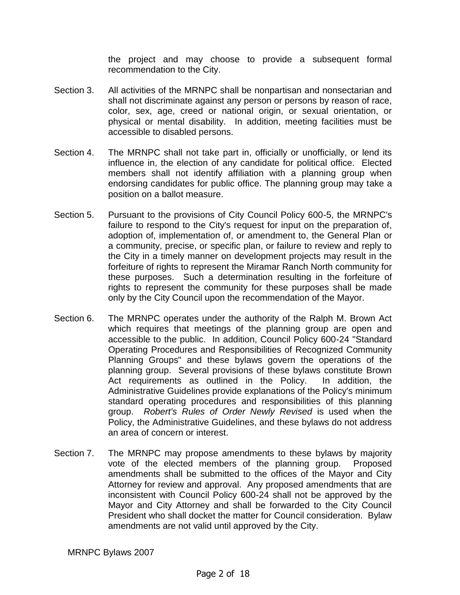the project and may choose to provide a subsequent formal recommendation to the City.

- Section 3. All activities of the MRNPC shall be nonpartisan and nonsectarian and shall not discriminate against any person or persons by reason of race, color, sex, age, creed or national origin, or sexual orientation, or physical or mental disability. In addition, meeting facilities must be accessible to disabled persons.
- Section 4. The MRNPC shall not take part in, officially or unofficially, or lend its influence in, the election of any candidate for political office. Elected members shall not identify affiliation with a planning group when endorsing candidates for public office. The planning group may take a position on a ballot measure.
- Section 5. Pursuant to the provisions of City Council Policy 600-5, the MRNPC's failure to respond to the City's request for input on the preparation of, adoption of, implementation of, or amendment to, the General Plan or a community, precise, or specific plan, or failure to review and reply to the City in a timely manner on development projects may result in the forfeiture of rights to represent the Miramar Ranch North community for these purposes. Such a determination resulting in the forfeiture of rights to represent the community for these purposes shall be made only by the City Council upon the recommendation of the Mayor.
- Section 6. The MRNPC operates under the authority of the Ralph M. Brown Act which requires that meetings of the planning group are open and accessible to the public. In addition, Council Policy 600-24 "Standard Operating Procedures and Responsibilities of Recognized Community Planning Groups" and these bylaws govern the operations of the planning group. Several provisions of these bylaws constitute Brown Act requirements as outlined in the Policy. In addition, the Administrative Guidelines provide explanations of the Policy's minimum standard operating procedures and responsibilities of this planning group. Robert's Rules of Order Newly Revised is used when the Policy, the Administrative Guidelines, and these bylaws do not address an area of concern or interest.
- Section 7. The MRNPC may propose amendments to these bylaws by majority vote of the elected members of the planning group. Proposed amendments shall be submitted to the offices of the Mayor and City Attorney for review and approval. Any proposed amendments that are inconsistent with Council Policy 600-24 shall not be approved by the Mayor and City Attorney and shall be forwarded to the City Council President who shall docket the matter for Council consideration. Bylaw amendments are not valid until approved by the City.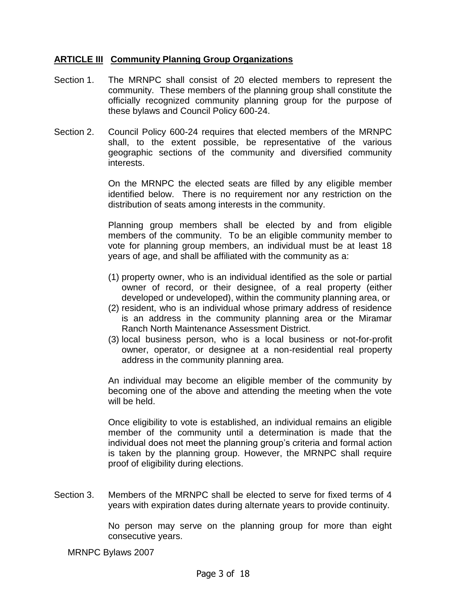# **ARTICLE III Community Planning Group Organizations**

- Section 1. The MRNPC shall consist of 20 elected members to represent the community. These members of the planning group shall constitute the officially recognized community planning group for the purpose of these bylaws and Council Policy 600-24.
- Section 2. Council Policy 600-24 requires that elected members of the MRNPC shall, to the extent possible, be representative of the various geographic sections of the community and diversified community interests.

On the MRNPC the elected seats are filled by any eligible member identified below. There is no requirement nor any restriction on the distribution of seats among interests in the community.

Planning group members shall be elected by and from eligible members of the community. To be an eligible community member to vote for planning group members, an individual must be at least 18 years of age, and shall be affiliated with the community as a:

- (1) property owner, who is an individual identified as the sole or partial owner of record, or their designee, of a real property (either developed or undeveloped), within the community planning area, or
- (2) resident, who is an individual whose primary address of residence is an address in the community planning area or the Miramar Ranch North Maintenance Assessment District.
- (3) local business person, who is a local business or not-for-profit owner, operator, or designee at a non-residential real property address in the community planning area.

An individual may become an eligible member of the community by becoming one of the above and attending the meeting when the vote will be held.

Once eligibility to vote is established, an individual remains an eligible member of the community until a determination is made that the individual does not meet the planning group's criteria and formal action is taken by the planning group. However, the MRNPC shall require proof of eligibility during elections.

Section 3. Members of the MRNPC shall be elected to serve for fixed terms of 4 years with expiration dates during alternate years to provide continuity.

> No person may serve on the planning group for more than eight consecutive years.

MRNPC Bylaws 2007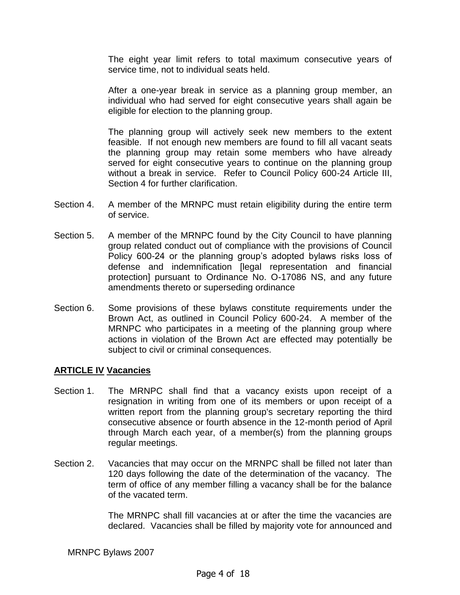The eight year limit refers to total maximum consecutive years of service time, not to individual seats held.

After a one-year break in service as a planning group member, an individual who had served for eight consecutive years shall again be eligible for election to the planning group.

The planning group will actively seek new members to the extent feasible. If not enough new members are found to fill all vacant seats the planning group may retain some members who have already served for eight consecutive years to continue on the planning group without a break in service. Refer to Council Policy 600-24 Article III, Section 4 for further clarification.

- Section 4. A member of the MRNPC must retain eligibility during the entire term of service.
- Section 5. A member of the MRNPC found by the City Council to have planning group related conduct out of compliance with the provisions of Council Policy 600-24 or the planning group's adopted bylaws risks loss of defense and indemnification [legal representation and financial protection] pursuant to Ordinance No. O-17086 NS, and any future amendments thereto or superseding ordinance
- Section 6. Some provisions of these bylaws constitute requirements under the Brown Act, as outlined in Council Policy 600-24. A member of the MRNPC who participates in a meeting of the planning group where actions in violation of the Brown Act are effected may potentially be subject to civil or criminal consequences.

# **ARTICLE IV Vacancies**

- Section 1. The MRNPC shall find that a vacancy exists upon receipt of a resignation in writing from one of its members or upon receipt of a written report from the planning group's secretary reporting the third consecutive absence or fourth absence in the 12-month period of April through March each year, of a member(s) from the planning groups regular meetings.
- Section 2. Vacancies that may occur on the MRNPC shall be filled not later than 120 days following the date of the determination of the vacancy. The term of office of any member filling a vacancy shall be for the balance of the vacated term.

The MRNPC shall fill vacancies at or after the time the vacancies are declared. Vacancies shall be filled by majority vote for announced and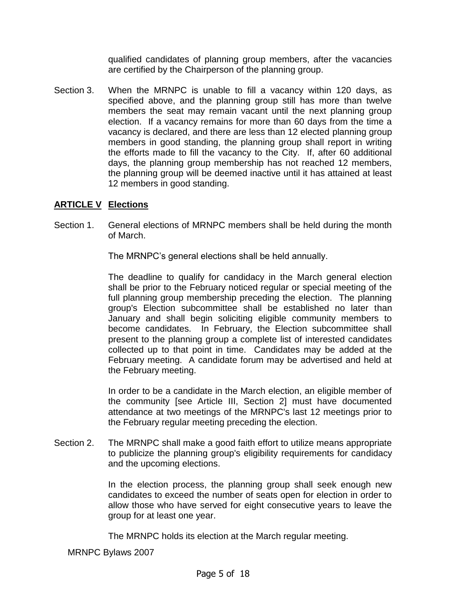qualified candidates of planning group members, after the vacancies are certified by the Chairperson of the planning group.

Section 3. When the MRNPC is unable to fill a vacancy within 120 days, as specified above, and the planning group still has more than twelve members the seat may remain vacant until the next planning group election. If a vacancy remains for more than 60 days from the time a vacancy is declared, and there are less than 12 elected planning group members in good standing, the planning group shall report in writing the efforts made to fill the vacancy to the City. If, after 60 additional days, the planning group membership has not reached 12 members, the planning group will be deemed inactive until it has attained at least 12 members in good standing.

# **ARTICLE V Elections**

Section 1. General elections of MRNPC members shall be held during the month of March.

The MRNPC's general elections shall be held annually.

The deadline to qualify for candidacy in the March general election shall be prior to the February noticed regular or special meeting of the full planning group membership preceding the election. The planning group's Election subcommittee shall be established no later than January and shall begin soliciting eligible community members to become candidates. In February, the Election subcommittee shall present to the planning group a complete list of interested candidates collected up to that point in time. Candidates may be added at the February meeting. A candidate forum may be advertised and held at the February meeting.

In order to be a candidate in the March election, an eligible member of the community [see Article III, Section 2] must have documented attendance at two meetings of the MRNPC's last 12 meetings prior to the February regular meeting preceding the election.

Section 2. The MRNPC shall make a good faith effort to utilize means appropriate to publicize the planning group's eligibility requirements for candidacy and the upcoming elections.

> In the election process, the planning group shall seek enough new candidates to exceed the number of seats open for election in order to allow those who have served for eight consecutive years to leave the group for at least one year.

The MRNPC holds its election at the March regular meeting.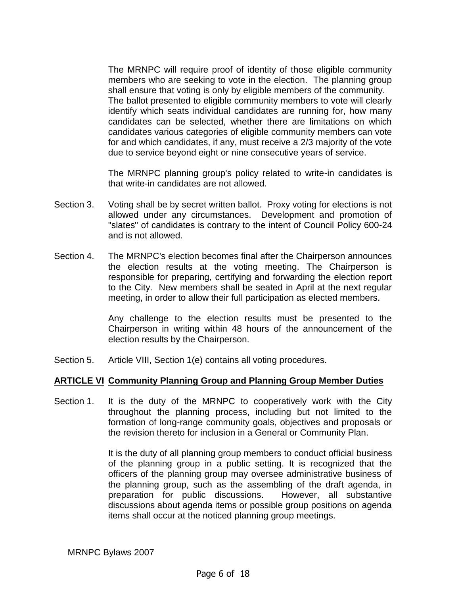The MRNPC will require proof of identity of those eligible community members who are seeking to vote in the election. The planning group shall ensure that voting is only by eligible members of the community. The ballot presented to eligible community members to vote will clearly identify which seats individual candidates are running for, how many candidates can be selected, whether there are limitations on which candidates various categories of eligible community members can vote for and which candidates, if any, must receive a 2/3 majority of the vote due to service beyond eight or nine consecutive years of service.

The MRNPC planning group's policy related to write-in candidates is that write-in candidates are not allowed.

- Section 3. Voting shall be by secret written ballot. Proxy voting for elections is not allowed under any circumstances. Development and promotion of "slates" of candidates is contrary to the intent of Council Policy 600-24 and is not allowed.
- Section 4. The MRNPC's election becomes final after the Chairperson announces the election results at the voting meeting. The Chairperson is responsible for preparing, certifying and forwarding the election report to the City. New members shall be seated in April at the next regular meeting, in order to allow their full participation as elected members.

Any challenge to the election results must be presented to the Chairperson in writing within 48 hours of the announcement of the election results by the Chairperson.

Section 5. Article VIII, Section 1(e) contains all voting procedures.

# **ARTICLE VI Community Planning Group and Planning Group Member Duties**

Section 1. It is the duty of the MRNPC to cooperatively work with the City throughout the planning process, including but not limited to the formation of long-range community goals, objectives and proposals or the revision thereto for inclusion in a General or Community Plan.

> It is the duty of all planning group members to conduct official business of the planning group in a public setting. It is recognized that the officers of the planning group may oversee administrative business of the planning group, such as the assembling of the draft agenda, in preparation for public discussions. However, all substantive discussions about agenda items or possible group positions on agenda items shall occur at the noticed planning group meetings.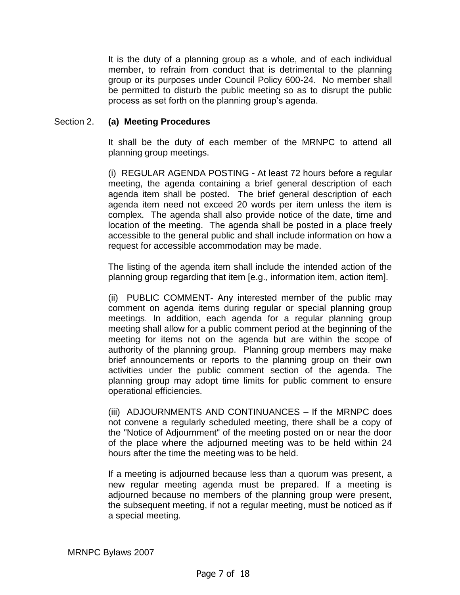It is the duty of a planning group as a whole, and of each individual member, to refrain from conduct that is detrimental to the planning group or its purposes under Council Policy 600-24. No member shall be permitted to disturb the public meeting so as to disrupt the public process as set forth on the planning group's agenda.

#### Section 2. **(a) Meeting Procedures**

It shall be the duty of each member of the MRNPC to attend all planning group meetings.

(i) REGULAR AGENDA POSTING - At least 72 hours before a regular meeting, the agenda containing a brief general description of each agenda item shall be posted. The brief general description of each agenda item need not exceed 20 words per item unless the item is complex. The agenda shall also provide notice of the date, time and location of the meeting. The agenda shall be posted in a place freely accessible to the general public and shall include information on how a request for accessible accommodation may be made.

The listing of the agenda item shall include the intended action of the planning group regarding that item [e.g., information item, action item].

(ii) PUBLIC COMMENT- Any interested member of the public may comment on agenda items during regular or special planning group meetings. In addition, each agenda for a regular planning group meeting shall allow for a public comment period at the beginning of the meeting for items not on the agenda but are within the scope of authority of the planning group. Planning group members may make brief announcements or reports to the planning group on their own activities under the public comment section of the agenda. The planning group may adopt time limits for public comment to ensure operational efficiencies.

(iii) ADJOURNMENTS AND CONTINUANCES – If the MRNPC does not convene a regularly scheduled meeting, there shall be a copy of the "Notice of Adjournment" of the meeting posted on or near the door of the place where the adjourned meeting was to be held within 24 hours after the time the meeting was to be held.

If a meeting is adjourned because less than a quorum was present, a new regular meeting agenda must be prepared. If a meeting is adjourned because no members of the planning group were present, the subsequent meeting, if not a regular meeting, must be noticed as if a special meeting.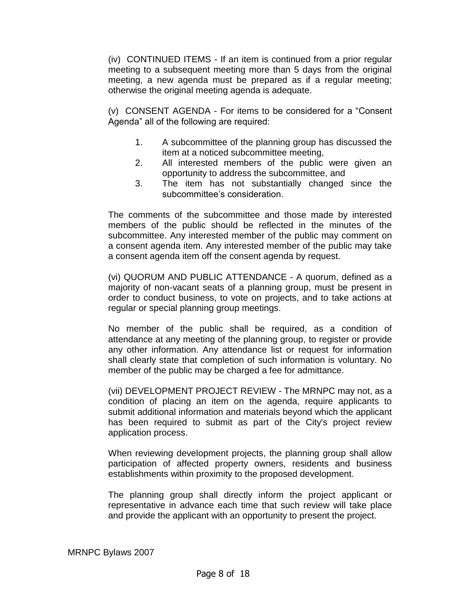(iv) CONTINUED ITEMS - If an item is continued from a prior regular meeting to a subsequent meeting more than 5 days from the original meeting, a new agenda must be prepared as if a regular meeting; otherwise the original meeting agenda is adequate.

(v) CONSENT AGENDA - For items to be considered for a "Consent Agenda" all of the following are required:

- 1. A subcommittee of the planning group has discussed the item at a noticed subcommittee meeting,
- 2. All interested members of the public were given an opportunity to address the subcommittee, and
- 3. The item has not substantially changed since the subcommittee's consideration.

The comments of the subcommittee and those made by interested members of the public should be reflected in the minutes of the subcommittee. Any interested member of the public may comment on a consent agenda item. Any interested member of the public may take a consent agenda item off the consent agenda by request.

(vi) QUORUM AND PUBLIC ATTENDANCE - A quorum, defined as a majority of non-vacant seats of a planning group, must be present in order to conduct business, to vote on projects, and to take actions at regular or special planning group meetings.

No member of the public shall be required, as a condition of attendance at any meeting of the planning group, to register or provide any other information. Any attendance list or request for information shall clearly state that completion of such information is voluntary. No member of the public may be charged a fee for admittance.

(vii) DEVELOPMENT PROJECT REVIEW - The MRNPC may not, as a condition of placing an item on the agenda, require applicants to submit additional information and materials beyond which the applicant has been required to submit as part of the City's project review application process.

When reviewing development projects, the planning group shall allow participation of affected property owners, residents and business establishments within proximity to the proposed development.

The planning group shall directly inform the project applicant or representative in advance each time that such review will take place and provide the applicant with an opportunity to present the project.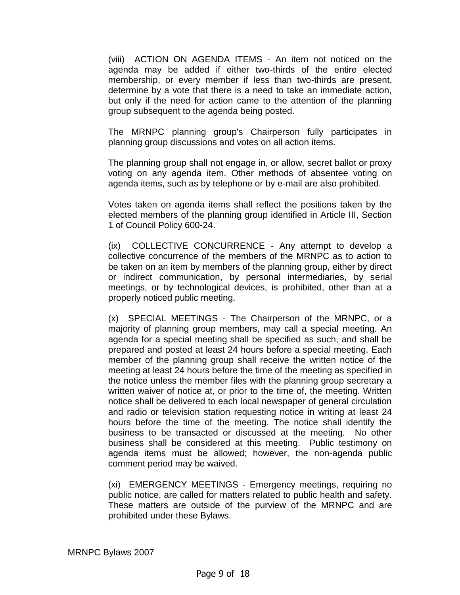(viii) ACTION ON AGENDA ITEMS - An item not noticed on the agenda may be added if either two-thirds of the entire elected membership, or every member if less than two-thirds are present, determine by a vote that there is a need to take an immediate action, but only if the need for action came to the attention of the planning group subsequent to the agenda being posted.

The MRNPC planning group's Chairperson fully participates in planning group discussions and votes on all action items.

The planning group shall not engage in, or allow, secret ballot or proxy voting on any agenda item. Other methods of absentee voting on agenda items, such as by telephone or by e-mail are also prohibited.

Votes taken on agenda items shall reflect the positions taken by the elected members of the planning group identified in Article III, Section 1 of Council Policy 600-24.

(ix) COLLECTIVE CONCURRENCE - Any attempt to develop a collective concurrence of the members of the MRNPC as to action to be taken on an item by members of the planning group, either by direct or indirect communication, by personal intermediaries, by serial meetings, or by technological devices, is prohibited, other than at a properly noticed public meeting.

(x) SPECIAL MEETINGS - The Chairperson of the MRNPC, or a majority of planning group members, may call a special meeting. An agenda for a special meeting shall be specified as such, and shall be prepared and posted at least 24 hours before a special meeting. Each member of the planning group shall receive the written notice of the meeting at least 24 hours before the time of the meeting as specified in the notice unless the member files with the planning group secretary a written waiver of notice at, or prior to the time of, the meeting. Written notice shall be delivered to each local newspaper of general circulation and radio or television station requesting notice in writing at least 24 hours before the time of the meeting. The notice shall identify the business to be transacted or discussed at the meeting. No other business shall be considered at this meeting. Public testimony on agenda items must be allowed; however, the non-agenda public comment period may be waived.

(xi) EMERGENCY MEETINGS - Emergency meetings, requiring no public notice, are called for matters related to public health and safety. These matters are outside of the purview of the MRNPC and are prohibited under these Bylaws.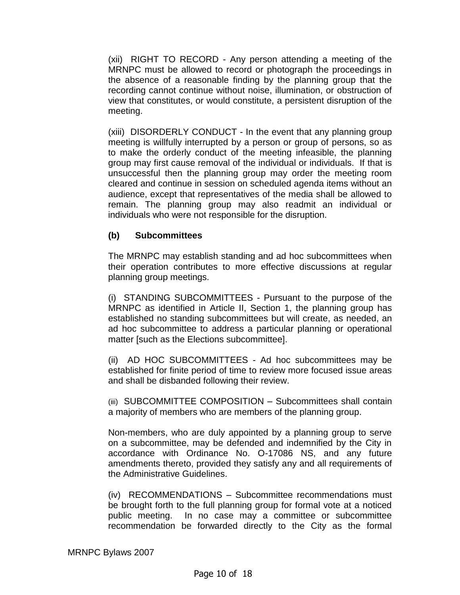(xii) RIGHT TO RECORD - Any person attending a meeting of the MRNPC must be allowed to record or photograph the proceedings in the absence of a reasonable finding by the planning group that the recording cannot continue without noise, illumination, or obstruction of view that constitutes, or would constitute, a persistent disruption of the meeting.

(xiii) DISORDERLY CONDUCT - In the event that any planning group meeting is willfully interrupted by a person or group of persons, so as to make the orderly conduct of the meeting infeasible, the planning group may first cause removal of the individual or individuals. If that is unsuccessful then the planning group may order the meeting room cleared and continue in session on scheduled agenda items without an audience, except that representatives of the media shall be allowed to remain. The planning group may also readmit an individual or individuals who were not responsible for the disruption.

# **(b) Subcommittees**

The MRNPC may establish standing and ad hoc subcommittees when their operation contributes to more effective discussions at regular planning group meetings.

(i) STANDING SUBCOMMITTEES - Pursuant to the purpose of the MRNPC as identified in Article II, Section 1, the planning group has established no standing subcommittees but will create, as needed, an ad hoc subcommittee to address a particular planning or operational matter [such as the Elections subcommittee].

(ii) AD HOC SUBCOMMITTEES - Ad hoc subcommittees may be established for finite period of time to review more focused issue areas and shall be disbanded following their review.

(iii) SUBCOMMITTEE COMPOSITION – Subcommittees shall contain a majority of members who are members of the planning group.

Non-members, who are duly appointed by a planning group to serve on a subcommittee, may be defended and indemnified by the City in accordance with Ordinance No. O-17086 NS, and any future amendments thereto, provided they satisfy any and all requirements of the Administrative Guidelines.

(iv) RECOMMENDATIONS – Subcommittee recommendations must be brought forth to the full planning group for formal vote at a noticed public meeting. In no case may a committee or subcommittee recommendation be forwarded directly to the City as the formal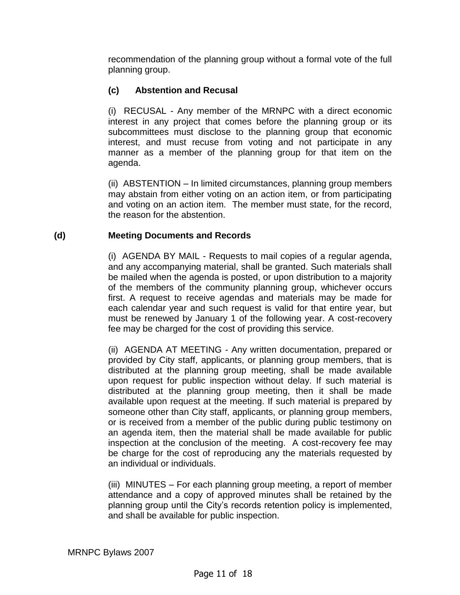recommendation of the planning group without a formal vote of the full planning group.

# **(c) Abstention and Recusal**

(i) RECUSAL - Any member of the MRNPC with a direct economic interest in any project that comes before the planning group or its subcommittees must disclose to the planning group that economic interest, and must recuse from voting and not participate in any manner as a member of the planning group for that item on the agenda.

(ii) ABSTENTION – In limited circumstances, planning group members may abstain from either voting on an action item, or from participating and voting on an action item. The member must state, for the record, the reason for the abstention.

# **(d) Meeting Documents and Records**

(i) AGENDA BY MAIL - Requests to mail copies of a regular agenda, and any accompanying material, shall be granted. Such materials shall be mailed when the agenda is posted, or upon distribution to a majority of the members of the community planning group, whichever occurs first. A request to receive agendas and materials may be made for each calendar year and such request is valid for that entire year, but must be renewed by January 1 of the following year. A cost-recovery fee may be charged for the cost of providing this service.

(ii) AGENDA AT MEETING - Any written documentation, prepared or provided by City staff, applicants, or planning group members, that is distributed at the planning group meeting, shall be made available upon request for public inspection without delay. If such material is distributed at the planning group meeting, then it shall be made available upon request at the meeting. If such material is prepared by someone other than City staff, applicants, or planning group members, or is received from a member of the public during public testimony on an agenda item, then the material shall be made available for public inspection at the conclusion of the meeting. A cost-recovery fee may be charge for the cost of reproducing any the materials requested by an individual or individuals.

(iii) MINUTES – For each planning group meeting, a report of member attendance and a copy of approved minutes shall be retained by the planning group until the City's records retention policy is implemented, and shall be available for public inspection.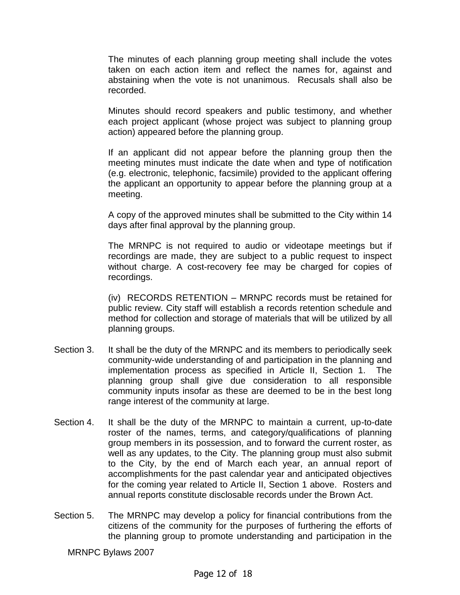The minutes of each planning group meeting shall include the votes taken on each action item and reflect the names for, against and abstaining when the vote is not unanimous. Recusals shall also be recorded.

Minutes should record speakers and public testimony, and whether each project applicant (whose project was subject to planning group action) appeared before the planning group.

If an applicant did not appear before the planning group then the meeting minutes must indicate the date when and type of notification (e.g. electronic, telephonic, facsimile) provided to the applicant offering the applicant an opportunity to appear before the planning group at a meeting.

A copy of the approved minutes shall be submitted to the City within 14 days after final approval by the planning group.

The MRNPC is not required to audio or videotape meetings but if recordings are made, they are subject to a public request to inspect without charge. A cost-recovery fee may be charged for copies of recordings.

(iv) RECORDS RETENTION – MRNPC records must be retained for public review. City staff will establish a records retention schedule and method for collection and storage of materials that will be utilized by all planning groups.

- Section 3. It shall be the duty of the MRNPC and its members to periodically seek community-wide understanding of and participation in the planning and implementation process as specified in Article II, Section 1. The planning group shall give due consideration to all responsible community inputs insofar as these are deemed to be in the best long range interest of the community at large.
- Section 4. It shall be the duty of the MRNPC to maintain a current, up-to-date roster of the names, terms, and category/qualifications of planning group members in its possession, and to forward the current roster, as well as any updates, to the City. The planning group must also submit to the City, by the end of March each year, an annual report of accomplishments for the past calendar year and anticipated objectives for the coming year related to Article II, Section 1 above. Rosters and annual reports constitute disclosable records under the Brown Act.
- Section 5. The MRNPC may develop a policy for financial contributions from the citizens of the community for the purposes of furthering the efforts of the planning group to promote understanding and participation in the

MRNPC Bylaws 2007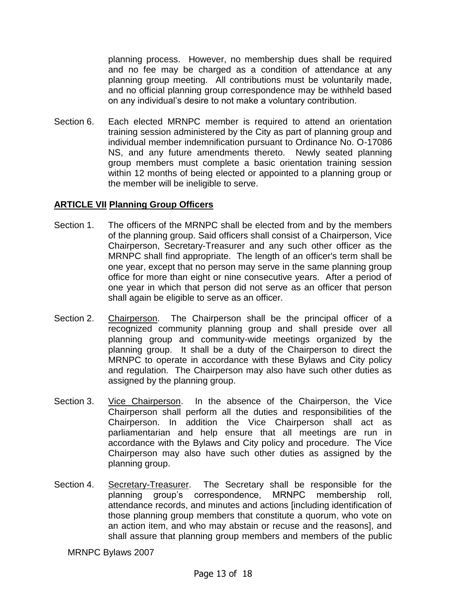planning process. However, no membership dues shall be required and no fee may be charged as a condition of attendance at any planning group meeting. All contributions must be voluntarily made, and no official planning group correspondence may be withheld based on any individual's desire to not make a voluntary contribution.

Section 6. Each elected MRNPC member is required to attend an orientation training session administered by the City as part of planning group and individual member indemnification pursuant to Ordinance No. O-17086 NS, and any future amendments thereto. Newly seated planning group members must complete a basic orientation training session within 12 months of being elected or appointed to a planning group or the member will be ineligible to serve.

# **ARTICLE VII Planning Group Officers**

- Section 1. The officers of the MRNPC shall be elected from and by the members of the planning group. Said officers shall consist of a Chairperson, Vice Chairperson, Secretary-Treasurer and any such other officer as the MRNPC shall find appropriate. The length of an officer's term shall be one year, except that no person may serve in the same planning group office for more than eight or nine consecutive years. After a period of one year in which that person did not serve as an officer that person shall again be eligible to serve as an officer.
- Section 2. Chairperson. The Chairperson shall be the principal officer of a recognized community planning group and shall preside over all planning group and community-wide meetings organized by the planning group. It shall be a duty of the Chairperson to direct the MRNPC to operate in accordance with these Bylaws and City policy and regulation. The Chairperson may also have such other duties as assigned by the planning group.
- Section 3. Vice Chairperson. In the absence of the Chairperson, the Vice Chairperson shall perform all the duties and responsibilities of the Chairperson. In addition the Vice Chairperson shall act as parliamentarian and help ensure that all meetings are run in accordance with the Bylaws and City policy and procedure. The Vice Chairperson may also have such other duties as assigned by the planning group.
- Section 4. Secretary-Treasurer. The Secretary shall be responsible for the planning group's correspondence, MRNPC membership roll, attendance records, and minutes and actions [including identification of those planning group members that constitute a quorum, who vote on an action item, and who may abstain or recuse and the reasons], and shall assure that planning group members and members of the public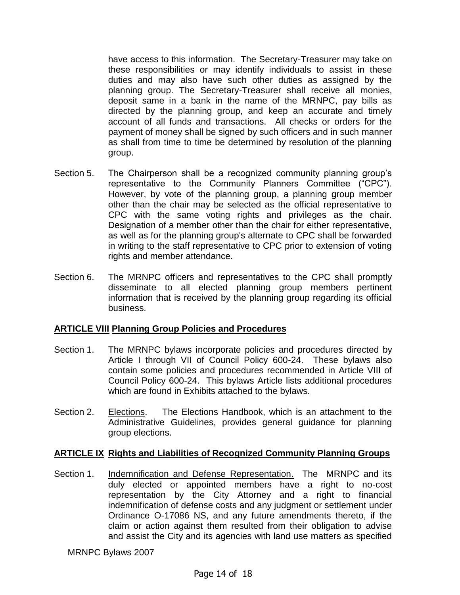have access to this information. The Secretary-Treasurer may take on these responsibilities or may identify individuals to assist in these duties and may also have such other duties as assigned by the planning group. The Secretary-Treasurer shall receive all monies, deposit same in a bank in the name of the MRNPC, pay bills as directed by the planning group, and keep an accurate and timely account of all funds and transactions. All checks or orders for the payment of money shall be signed by such officers and in such manner as shall from time to time be determined by resolution of the planning group.

- Section 5. The Chairperson shall be a recognized community planning group's representative to the Community Planners Committee ("CPC"). However, by vote of the planning group, a planning group member other than the chair may be selected as the official representative to CPC with the same voting rights and privileges as the chair. Designation of a member other than the chair for either representative, as well as for the planning group's alternate to CPC shall be forwarded in writing to the staff representative to CPC prior to extension of voting rights and member attendance.
- Section 6. The MRNPC officers and representatives to the CPC shall promptly disseminate to all elected planning group members pertinent information that is received by the planning group regarding its official business.

# **ARTICLE VIII Planning Group Policies and Procedures**

- Section 1. The MRNPC bylaws incorporate policies and procedures directed by Article I through VII of Council Policy 600-24. These bylaws also contain some policies and procedures recommended in Article VIII of Council Policy 600-24. This bylaws Article lists additional procedures which are found in Exhibits attached to the bylaws.
- Section 2. Elections. The Elections Handbook, which is an attachment to the Administrative Guidelines, provides general guidance for planning group elections.

# **ARTICLE IX Rights and Liabilities of Recognized Community Planning Groups**

Section 1. Indemnification and Defense Representation. The MRNPC and its duly elected or appointed members have a right to no-cost representation by the City Attorney and a right to financial indemnification of defense costs and any judgment or settlement under Ordinance O-17086 NS, and any future amendments thereto, if the claim or action against them resulted from their obligation to advise and assist the City and its agencies with land use matters as specified

MRNPC Bylaws 2007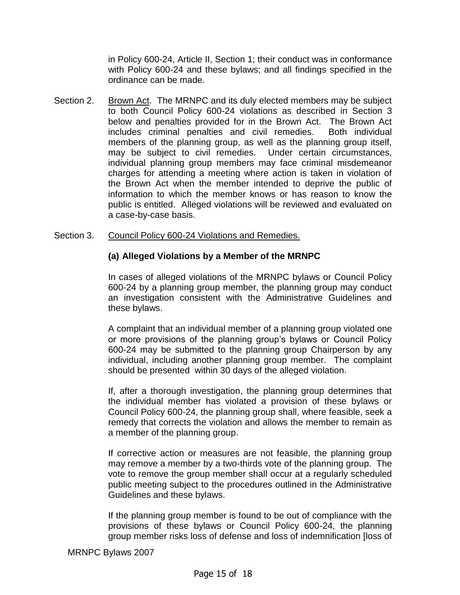in Policy 600-24, Article II, Section 1; their conduct was in conformance with Policy 600-24 and these bylaws; and all findings specified in the ordinance can be made.

Section 2. Brown Act. The MRNPC and its duly elected members may be subject to both Council Policy 600-24 violations as described in Section 3 below and penalties provided for in the Brown Act. The Brown Act includes criminal penalties and civil remedies. Both individual members of the planning group, as well as the planning group itself, may be subject to civil remedies. Under certain circumstances, individual planning group members may face criminal misdemeanor charges for attending a meeting where action is taken in violation of the Brown Act when the member intended to deprive the public of information to which the member knows or has reason to know the public is entitled. Alleged violations will be reviewed and evaluated on a case-by-case basis.

#### Section 3. Council Policy 600-24 Violations and Remedies.

# **(a) Alleged Violations by a Member of the MRNPC**

In cases of alleged violations of the MRNPC bylaws or Council Policy 600-24 by a planning group member, the planning group may conduct an investigation consistent with the Administrative Guidelines and these bylaws.

A complaint that an individual member of a planning group violated one or more provisions of the planning group's bylaws or Council Policy 600-24 may be submitted to the planning group Chairperson by any individual, including another planning group member. The complaint should be presented within 30 days of the alleged violation.

If, after a thorough investigation, the planning group determines that the individual member has violated a provision of these bylaws or Council Policy 600-24, the planning group shall, where feasible, seek a remedy that corrects the violation and allows the member to remain as a member of the planning group.

If corrective action or measures are not feasible, the planning group may remove a member by a two-thirds vote of the planning group. The vote to remove the group member shall occur at a regularly scheduled public meeting subject to the procedures outlined in the Administrative Guidelines and these bylaws.

If the planning group member is found to be out of compliance with the provisions of these bylaws or Council Policy 600-24, the planning group member risks loss of defense and loss of indemnification [loss of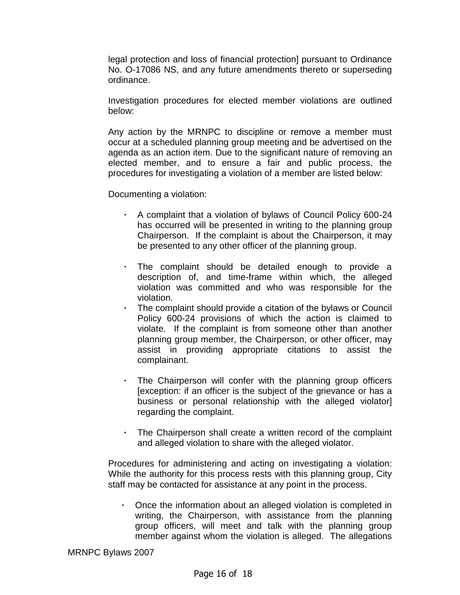legal protection and loss of financial protection] pursuant to Ordinance No. O-17086 NS, and any future amendments thereto or superseding ordinance.

Investigation procedures for elected member violations are outlined below:

Any action by the MRNPC to discipline or remove a member must occur at a scheduled planning group meeting and be advertised on the agenda as an action item. Due to the significant nature of removing an elected member, and to ensure a fair and public process, the procedures for investigating a violation of a member are listed below:

Documenting a violation:

- **·** A complaint that a violation of bylaws of Council Policy 600-24 has occurred will be presented in writing to the planning group Chairperson. If the complaint is about the Chairperson, it may be presented to any other officer of the planning group.
- **·** The complaint should be detailed enough to provide a description of, and time-frame within which, the alleged violation was committed and who was responsible for the violation.
- **·** The complaint should provide a citation of the bylaws or Council Policy 600-24 provisions of which the action is claimed to violate. If the complaint is from someone other than another planning group member, the Chairperson, or other officer, may assist in providing appropriate citations to assist the complainant.
- **·** The Chairperson will confer with the planning group officers [exception: if an officer is the subject of the grievance or has a business or personal relationship with the alleged violator] regarding the complaint.
- **·** The Chairperson shall create a written record of the complaint and alleged violation to share with the alleged violator.

Procedures for administering and acting on investigating a violation: While the authority for this process rests with this planning group, City staff may be contacted for assistance at any point in the process.

**·** Once the information about an alleged violation is completed in writing, the Chairperson, with assistance from the planning group officers, will meet and talk with the planning group member against whom the violation is alleged. The allegations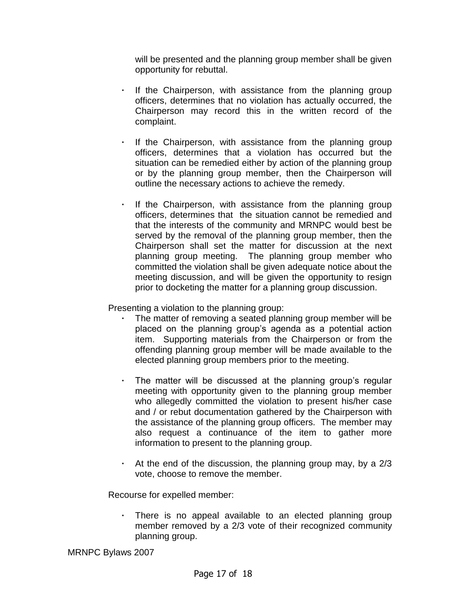will be presented and the planning group member shall be given opportunity for rebuttal.

- **·** If the Chairperson, with assistance from the planning group officers, determines that no violation has actually occurred, the Chairperson may record this in the written record of the complaint.
- If the Chairperson, with assistance from the planning group officers, determines that a violation has occurred but the situation can be remedied either by action of the planning group or by the planning group member, then the Chairperson will outline the necessary actions to achieve the remedy.
- **·** If the Chairperson, with assistance from the planning group officers, determines that the situation cannot be remedied and that the interests of the community and MRNPC would best be served by the removal of the planning group member, then the Chairperson shall set the matter for discussion at the next planning group meeting. The planning group member who committed the violation shall be given adequate notice about the meeting discussion, and will be given the opportunity to resign prior to docketing the matter for a planning group discussion.

Presenting a violation to the planning group:

- The matter of removing a seated planning group member will be placed on the planning group's agenda as a potential action item. Supporting materials from the Chairperson or from the offending planning group member will be made available to the elected planning group members prior to the meeting.
- **·** The matter will be discussed at the planning group's regular meeting with opportunity given to the planning group member who allegedly committed the violation to present his/her case and / or rebut documentation gathered by the Chairperson with the assistance of the planning group officers. The member may also request a continuance of the item to gather more information to present to the planning group.
- **·** At the end of the discussion, the planning group may, by a 2/3 vote, choose to remove the member.

Recourse for expelled member:

There is no appeal available to an elected planning group member removed by a 2/3 vote of their recognized community planning group.